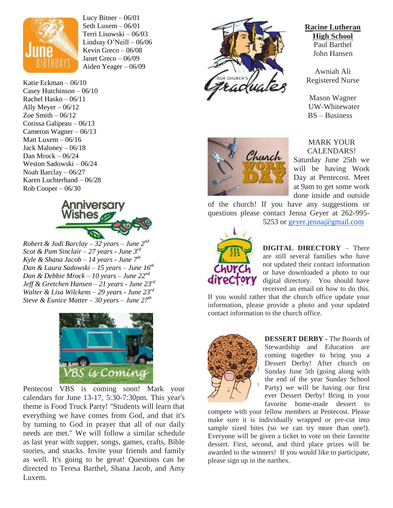

Lucy Bitner  $-06/01$ Seth Luxem  $-06/01$ Terri Lisowski – 06/03 Lindsay O'Neill – 06/06 Kevin Greco – 06/08 Janet Greco – 06/09 Aiden Yeager – 06/09

Katie Eckman – 06/10 Casey Hutchinson – 06/10 Rachel Hasko – 06/11 Ally Meyer  $-06/12$ Zoe Smith  $-06/12$ Corissa Galipeau – 06/13 Cameron Wagner – 06/13 Matt Luxem – 06/16 Jack Maloney – 06/18 Dan Mrock – 06/24 Weston Sadowski – 06/24 Noah Barclay – 06/27 Karen Luchterhand – 06/28 Rob Cooper – 06/30



*Robert & Jodi Barclay – 32 years – June 2<sup><i>n*</sup> *Scot & Pam Sinclair – 27 years - June 3rd Kyle & Shana Jacob – 14 years - June 7th Dan & Laura Sadowski – 15 years – June 16th Dan & Debbie Mrock – 10 years – June 22nd Jeff & Gretchen Hansen – 21 years - June 23rd Walter & Lisa Wilckens – 29 years - June 23rd Steve & Eunice Matter – 30 years – June 27th* 



Pentecost VBS is coming soon! Mark your calendars for June 13-17, 5:30-7:30pm. This year's theme is Food Truck Party! "Students will learn that everything we have comes from God, and that it's by turning to God in prayer that all of our daily needs are met." We will follow a similar schedule as last year with supper, songs, games, crafts, Bible stories, and snacks. Invite your friends and family as well. It's going to be great! Questions can be directed to Teresa Barthel, Shana Jacob, and Amy Luxem.



#### **Racine Lutheran High School** Paul Barthel John Hansen

Awniah Ali Registered Nurse

Mason Wagner UW-Whitewater BS – Business



MARK YOUR CALENDARS!

Saturday June 25th we will be having Work Day at Pentecost. Meet at 9am to get some work done inside and outside

of the church! If you have any suggestions or questions please contact Jenna Geyer at 262-995- 5253 or [geyer.jenna@gmail.com](mailto:geyer.jenna@gmail.com)



**DIGITAL DIRECTORY** – There are still several families who have not updated their contact information or have downloaded a photo to our digital directory. You should have received an email on how to do this.

If you would rather that the church office update your information, please provide a photo and your updated contact information to the church office.



**DESSERT DERBY -** The Boards of Stewardship and Education are coming together to bring you a Dessert Derby! After church on Sunday June 5th (going along with the end of the year Sunday School Party) we will be having our first ever Dessert Derby! Bring in your favorite home-made dessert to

compete with your fellow members at Pentecost. Please make sure it is individually wrapped or pre-cut into sample sized bites (so we can try more than one!). Everyone will be given a ticket to vote on their favorite dessert. First, second, and third place prizes will be awarded to the winners! If you would like to participate, please sign up in the narthex.